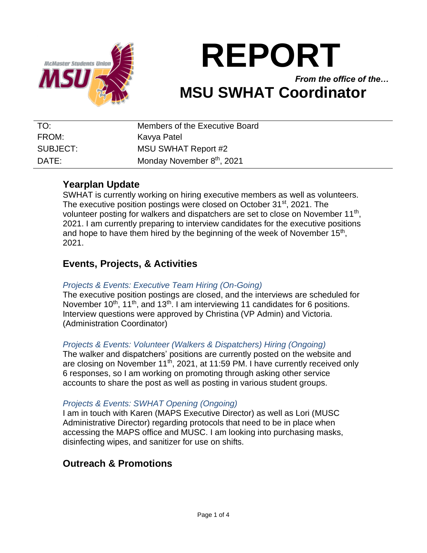

# **REPORT**

*From the office of the…* **MSU SWHAT Coordinator**

| TO:      | Members of the Executive Board         |
|----------|----------------------------------------|
| FROM:    | Kavya Patel                            |
| SUBJECT: | <b>MSU SWHAT Report #2</b>             |
| DATE:    | Monday November 8 <sup>th</sup> , 2021 |

## **Yearplan Update**

SWHAT is currently working on hiring executive members as well as volunteers. The executive position postings were closed on October 31<sup>st</sup>, 2021. The volunteer posting for walkers and dispatchers are set to close on November 11<sup>th</sup>, 2021. I am currently preparing to interview candidates for the executive positions and hope to have them hired by the beginning of the week of November  $15<sup>th</sup>$ , 2021.

# **Events, Projects, & Activities**

### *Projects & Events: Executive Team Hiring (On-Going)*

The executive position postings are closed, and the interviews are scheduled for November  $10^{th}$ ,  $11^{th}$ , and  $13^{th}$ . I am interviewing 11 candidates for 6 positions. Interview questions were approved by Christina (VP Admin) and Victoria. (Administration Coordinator)

#### *Projects & Events: Volunteer (Walkers & Dispatchers) Hiring (Ongoing)*

The walker and dispatchers' positions are currently posted on the website and are closing on November  $11<sup>th</sup>$ , 2021, at 11:59 PM. I have currently received only 6 responses, so I am working on promoting through asking other service accounts to share the post as well as posting in various student groups.

#### *Projects & Events: SWHAT Opening (Ongoing)*

I am in touch with Karen (MAPS Executive Director) as well as Lori (MUSC Administrative Director) regarding protocols that need to be in place when accessing the MAPS office and MUSC. I am looking into purchasing masks, disinfecting wipes, and sanitizer for use on shifts.

# **Outreach & Promotions**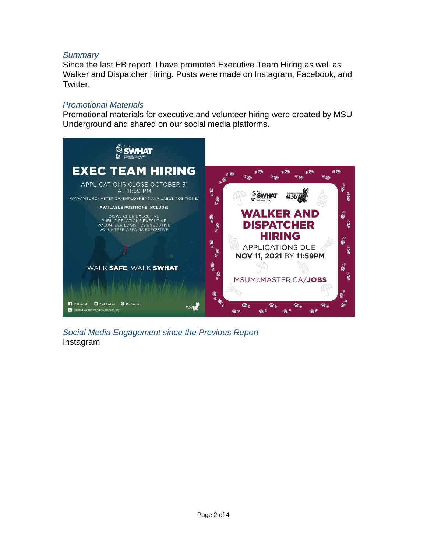#### *Summary*

Since the last EB report, I have promoted Executive Team Hiring as well as Walker and Dispatcher Hiring. Posts were made on Instagram, Facebook, and Twitter.

#### *Promotional Materials*

Promotional materials for executive and volunteer hiring were created by MSU Underground and shared on our social media platforms.



*Social Media Engagement since the Previous Report* Instagram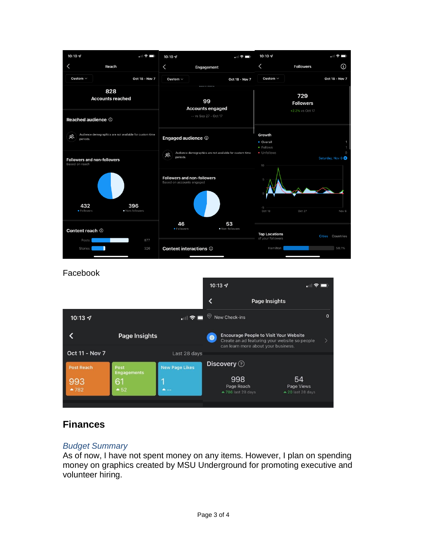

#### Facebook

| Page Insights<br>$\circ$<br>$\Omega$<br>New Check-ins<br>$\blacksquare$<br>10:13 $\sim$<br><b>Encourage People to Visit Your Website</b><br>Page Insights<br>$\bigoplus$<br>Create an ad featuring your website so people<br>can learn more about your business.<br><b>Oct 11 - Nov 7</b><br>Last 28 days<br>Discovery ?<br><b>New Page Likes</b><br><b>Post Reach</b><br>Post<br><b>Engagements</b><br>998<br>54<br>993<br>61<br>Page Reach<br>Page Views<br>$-52$<br>$-782$<br>▲ 786 last 28 days<br>$\triangle$ 20 last 28 days |  | 10:13 $\sim$ |  | $-1$ |  |
|------------------------------------------------------------------------------------------------------------------------------------------------------------------------------------------------------------------------------------------------------------------------------------------------------------------------------------------------------------------------------------------------------------------------------------------------------------------------------------------------------------------------------------|--|--------------|--|------|--|
|                                                                                                                                                                                                                                                                                                                                                                                                                                                                                                                                    |  |              |  |      |  |
|                                                                                                                                                                                                                                                                                                                                                                                                                                                                                                                                    |  |              |  |      |  |
|                                                                                                                                                                                                                                                                                                                                                                                                                                                                                                                                    |  |              |  |      |  |
|                                                                                                                                                                                                                                                                                                                                                                                                                                                                                                                                    |  |              |  |      |  |
|                                                                                                                                                                                                                                                                                                                                                                                                                                                                                                                                    |  |              |  |      |  |
|                                                                                                                                                                                                                                                                                                                                                                                                                                                                                                                                    |  |              |  |      |  |

# **Finances**

#### *Budget Summary*

As of now, I have not spent money on any items. However, I plan on spending money on graphics created by MSU Underground for promoting executive and volunteer hiring.